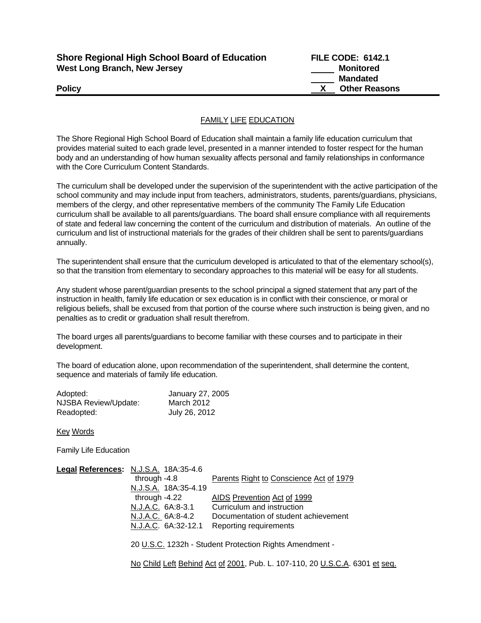| <b>Shore Regional High School Board of Education</b> |
|------------------------------------------------------|
| <b>West Long Branch, New Jersey</b>                  |

**FILE CODE: 6142.1 Monitored Mandated Policy X Other Reasons** 

## FAMILY LIFE EDUCATION

The Shore Regional High School Board of Education shall maintain a family life education curriculum that provides material suited to each grade level, presented in a manner intended to foster respect for the human body and an understanding of how human sexuality affects personal and family relationships in conformance with the Core Curriculum Content Standards.

The curriculum shall be developed under the supervision of the superintendent with the active participation of the school community and may include input from teachers, administrators, students, parents/guardians, physicians, members of the clergy, and other representative members of the community The Family Life Education curriculum shall be available to all parents/guardians. The board shall ensure compliance with all requirements of state and federal law concerning the content of the curriculum and distribution of materials. An outline of the curriculum and list of instructional materials for the grades of their children shall be sent to parents/guardians annually.

The superintendent shall ensure that the curriculum developed is articulated to that of the elementary school(s), so that the transition from elementary to secondary approaches to this material will be easy for all students.

Any student whose parent/guardian presents to the school principal a signed statement that any part of the instruction in health, family life education or sex education is in conflict with their conscience, or moral or religious beliefs, shall be excused from that portion of the course where such instruction is being given, and no penalties as to credit or graduation shall result therefrom.

The board urges all parents/guardians to become familiar with these courses and to participate in their development.

The board of education alone, upon recommendation of the superintendent, shall determine the content, sequence and materials of family life education.

| Adopted:             | January 27, 2005 |
|----------------------|------------------|
| NJSBA Review/Update: | March 2012       |
| Readopted:           | July 26, 2012    |

Key Words

Family Life Education

| Legal References: N.J.S.A. 18A:35-4.6                   |                                         |  |
|---------------------------------------------------------|-----------------------------------------|--|
| through $-4.8$                                          | Parents Right to Conscience Act of 1979 |  |
| N.J.S.A. 18A:35-4.19                                    |                                         |  |
| through -4.22                                           | AIDS Prevention Act of 1999             |  |
| N.J.A.C. 6A:8-3.1                                       | Curriculum and instruction              |  |
| N.J.A.C. 6A:8-4.2                                       | Documentation of student achievement    |  |
| N.J.A.C. 6A:32-12.1                                     | Reporting requirements                  |  |
|                                                         |                                         |  |
| 20 U.S.C. 1232h - Student Protection Rights Amendment - |                                         |  |
|                                                         |                                         |  |

No Child Left Behind Act of 2001, Pub. L. 107-110, 20 U.S.C.A. 6301 et seq.